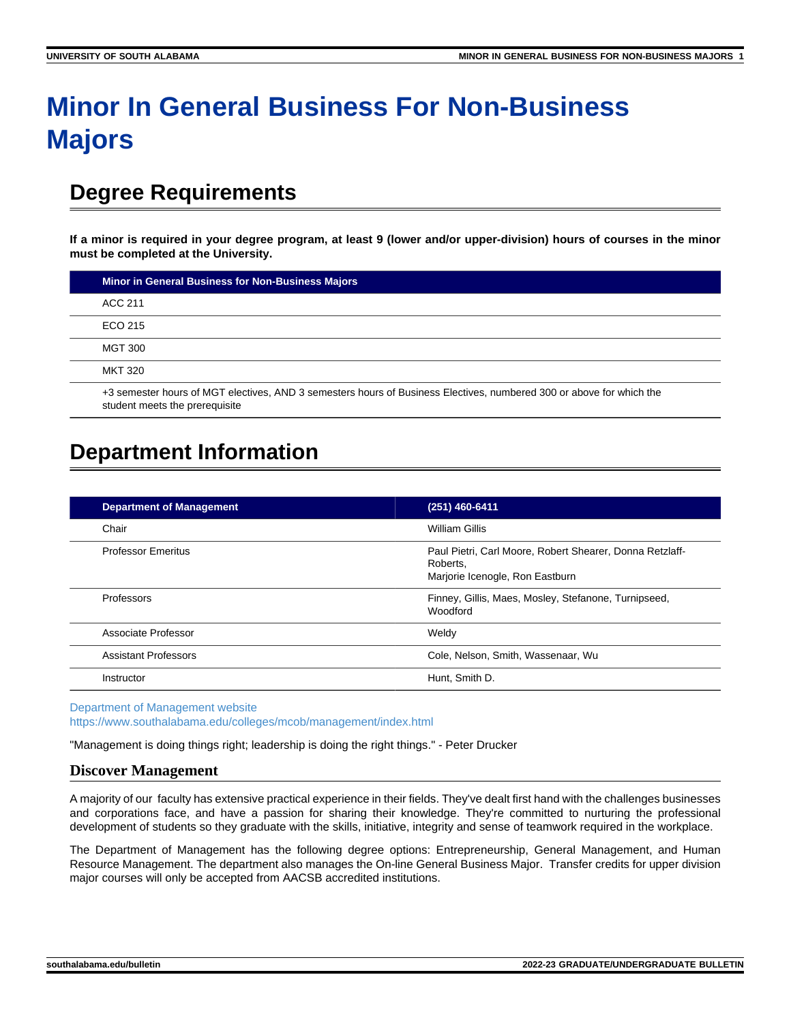# **Minor In General Business For Non-Business Majors**

# **Degree Requirements**

**If a minor is required in your degree program, at least 9 (lower and/or upper-division) hours of courses in the minor must be completed at the University.**

| <b>Minor in General Business for Non-Business Majors</b>                                                                                               |
|--------------------------------------------------------------------------------------------------------------------------------------------------------|
| ACC 211                                                                                                                                                |
| ECO 215                                                                                                                                                |
| <b>MGT 300</b>                                                                                                                                         |
| <b>MKT 320</b>                                                                                                                                         |
| +3 semester hours of MGT electives, AND 3 semesters hours of Business Electives, numbered 300 or above for which the<br>student meets the prerequisite |

# **Department Information**

| <b>Department of Management</b> | (251) 460-6411                                                                                          |
|---------------------------------|---------------------------------------------------------------------------------------------------------|
| Chair                           | William Gillis                                                                                          |
| <b>Professor Emeritus</b>       | Paul Pietri, Carl Moore, Robert Shearer, Donna Retzlaff-<br>Roberts.<br>Marjorie Icenogle, Ron Eastburn |
| Professors                      | Finney, Gillis, Maes, Mosley, Stefanone, Turnipseed,<br>Woodford                                        |
| Associate Professor             | Weldy                                                                                                   |
| <b>Assistant Professors</b>     | Cole, Nelson, Smith, Wassenaar, Wu                                                                      |
| Instructor                      | Hunt, Smith D.                                                                                          |

[Department of Management website](https://www.southalabama.edu/colleges/mcob/management/index.html) <https://www.southalabama.edu/colleges/mcob/management/index.html>

"Management is doing things right; leadership is doing the right things." - Peter Drucker

## **Discover Management**

A majority of our faculty has extensive practical experience in their fields. They've dealt first hand with the challenges businesses and corporations face, and have a passion for sharing their knowledge. They're committed to nurturing the professional development of students so they graduate with the skills, initiative, integrity and sense of teamwork required in the workplace.

The Department of Management has the following degree options: Entrepreneurship, General Management, and Human Resource Management. The department also manages the On-line General Business Major. Transfer credits for upper division major courses will only be accepted from AACSB accredited institutions.